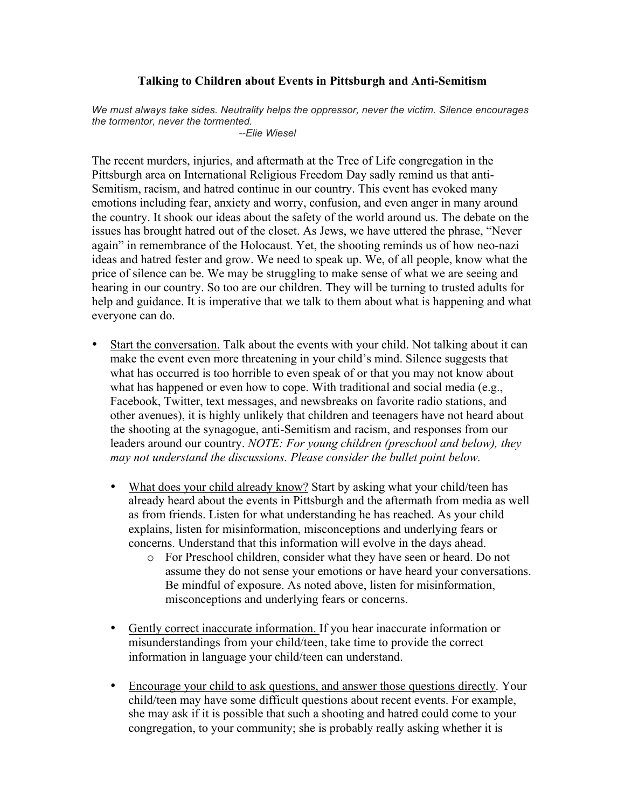## **Talking to Children about Events in Pittsburgh and Anti-Semitism**

*We must always take sides. Neutrality helps the oppressor, never the victim. Silence encourages the tormentor, never the tormented.*

*--Elie Wiesel*

The recent murders, injuries, and aftermath at the Tree of Life congregation in the Pittsburgh area on International Religious Freedom Day sadly remind us that anti-Semitism, racism, and hatred continue in our country. This event has evoked many emotions including fear, anxiety and worry, confusion, and even anger in many around the country. It shook our ideas about the safety of the world around us. The debate on the issues has brought hatred out of the closet. As Jews, we have uttered the phrase, "Never again" in remembrance of the Holocaust. Yet, the shooting reminds us of how neo-nazi ideas and hatred fester and grow. We need to speak up. We, of all people, know what the price of silence can be. We may be struggling to make sense of what we are seeing and hearing in our country. So too are our children. They will be turning to trusted adults for help and guidance. It is imperative that we talk to them about what is happening and what everyone can do.

- Start the conversation. Talk about the events with your child. Not talking about it can make the event even more threatening in your child's mind. Silence suggests that what has occurred is too horrible to even speak of or that you may not know about what has happened or even how to cope. With traditional and social media (e.g., Facebook, Twitter, text messages, and newsbreaks on favorite radio stations, and other avenues), it is highly unlikely that children and teenagers have not heard about the shooting at the synagogue, anti-Semitism and racism, and responses from our leaders around our country. *NOTE: For young children (preschool and below), they may not understand the discussions. Please consider the bullet point below.*
	- What does your child already know? Start by asking what your child/teen has already heard about the events in Pittsburgh and the aftermath from media as well as from friends. Listen for what understanding he has reached. As your child explains, listen for misinformation, misconceptions and underlying fears or concerns. Understand that this information will evolve in the days ahead.
		- o For Preschool children, consider what they have seen or heard. Do not assume they do not sense your emotions or have heard your conversations. Be mindful of exposure. As noted above, listen for misinformation, misconceptions and underlying fears or concerns.
	- Gently correct inaccurate information. If you hear inaccurate information or misunderstandings from your child/teen, take time to provide the correct information in language your child/teen can understand.
	- Encourage your child to ask questions, and answer those questions directly. Your child/teen may have some difficult questions about recent events. For example, she may ask if it is possible that such a shooting and hatred could come to your congregation, to your community; she is probably really asking whether it is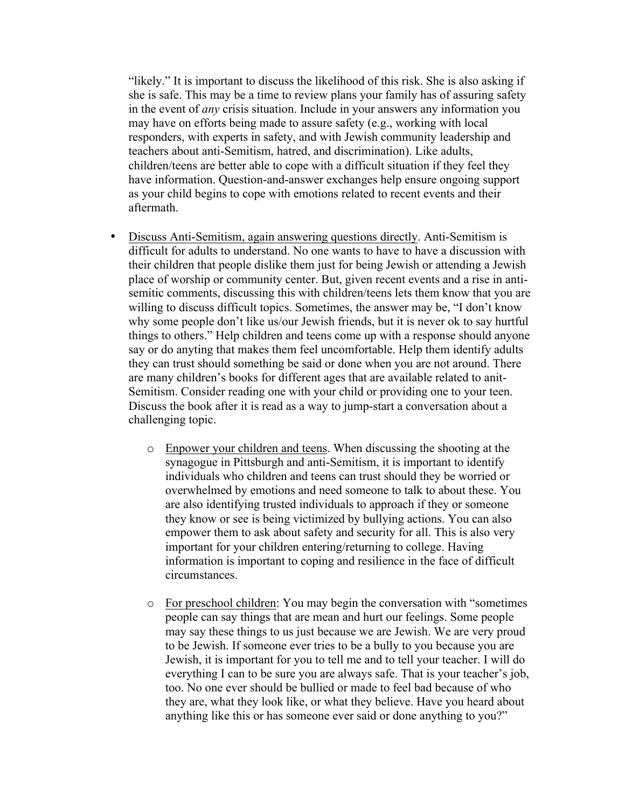"likely." It is important to discuss the likelihood of this risk. She is also asking if she is safe. This may be a time to review plans your family has of assuring safety in the event of *any* crisis situation. Include in your answers any information you may have on efforts being made to assure safety (e.g., working with local responders, with experts in safety, and with Jewish community leadership and teachers about anti-Semitism, hatred, and discrimination). Like adults, children/teens are better able to cope with a difficult situation if they feel they have information. Question-and-answer exchanges help ensure ongoing support as your child begins to cope with emotions related to recent events and their aftermath.

- Discuss Anti-Semitism, again answering questions directly. Anti-Semitism is difficult for adults to understand. No one wants to have to have a discussion with their children that people dislike them just for being Jewish or attending a Jewish place of worship or community center. But, given recent events and a rise in antisemitic comments, discussing this with children/teens lets them know that you are willing to discuss difficult topics. Sometimes, the answer may be, "I don't know why some people don't like us/our Jewish friends, but it is never ok to say hurtful things to others." Help children and teens come up with a response should anyone say or do anyting that makes them feel uncomfortable. Help them identify adults they can trust should something be said or done when you are not around. There are many children's books for different ages that are available related to anit-Semitism. Consider reading one with your child or providing one to your teen. Discuss the book after it is read as a way to jump-start a conversation about a challenging topic.
	- o Enpower your children and teens. When discussing the shooting at the synagogue in Pittsburgh and anti-Semitism, it is important to identify individuals who children and teens can trust should they be worried or overwhelmed by emotions and need someone to talk to about these. You are also identifying trusted individuals to approach if they or someone they know or see is being victimized by bullying actions. You can also empower them to ask about safety and security for all. This is also very important for your children entering/returning to college. Having information is important to coping and resilience in the face of difficult circumstances.
	- o For preschool children: You may begin the conversation with "sometimes people can say things that are mean and hurt our feelings. Some people may say these things to us just because we are Jewish. We are very proud to be Jewish. If someone ever tries to be a bully to you because you are Jewish, it is important for you to tell me and to tell your teacher. I will do everything I can to be sure you are always safe. That is your teacher's job, too. No one ever should be bullied or made to feel bad because of who they are, what they look like, or what they believe. Have you heard about anything like this or has someone ever said or done anything to you?"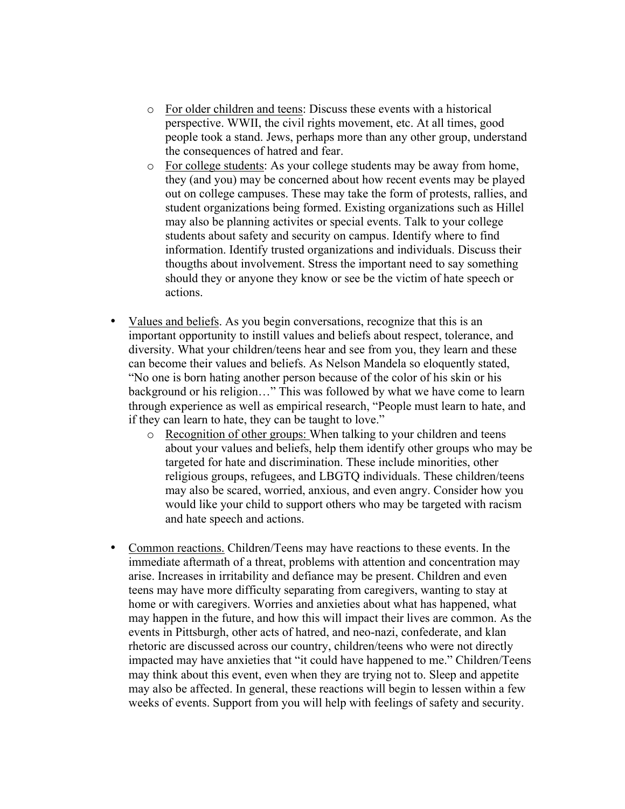- o For older children and teens: Discuss these events with a historical perspective. WWII, the civil rights movement, etc. At all times, good people took a stand. Jews, perhaps more than any other group, understand the consequences of hatred and fear.
- o For college students: As your college students may be away from home, they (and you) may be concerned about how recent events may be played out on college campuses. These may take the form of protests, rallies, and student organizations being formed. Existing organizations such as Hillel may also be planning activites or special events. Talk to your college students about safety and security on campus. Identify where to find information. Identify trusted organizations and individuals. Discuss their thougths about involvement. Stress the important need to say something should they or anyone they know or see be the victim of hate speech or actions.
- Values and beliefs. As you begin conversations, recognize that this is an important opportunity to instill values and beliefs about respect, tolerance, and diversity. What your children/teens hear and see from you, they learn and these can become their values and beliefs. As Nelson Mandela so eloquently stated, "No one is born hating another person because of the color of his skin or his background or his religion…" This was followed by what we have come to learn through experience as well as empirical research, "People must learn to hate, and if they can learn to hate, they can be taught to love."
	- o Recognition of other groups: When talking to your children and teens about your values and beliefs, help them identify other groups who may be targeted for hate and discrimination. These include minorities, other religious groups, refugees, and LBGTQ individuals. These children/teens may also be scared, worried, anxious, and even angry. Consider how you would like your child to support others who may be targeted with racism and hate speech and actions.
- Common reactions. Children/Teens may have reactions to these events. In the immediate aftermath of a threat, problems with attention and concentration may arise. Increases in irritability and defiance may be present. Children and even teens may have more difficulty separating from caregivers, wanting to stay at home or with caregivers. Worries and anxieties about what has happened, what may happen in the future, and how this will impact their lives are common. As the events in Pittsburgh, other acts of hatred, and neo-nazi, confederate, and klan rhetoric are discussed across our country, children/teens who were not directly impacted may have anxieties that "it could have happened to me." Children/Teens may think about this event, even when they are trying not to. Sleep and appetite may also be affected. In general, these reactions will begin to lessen within a few weeks of events. Support from you will help with feelings of safety and security.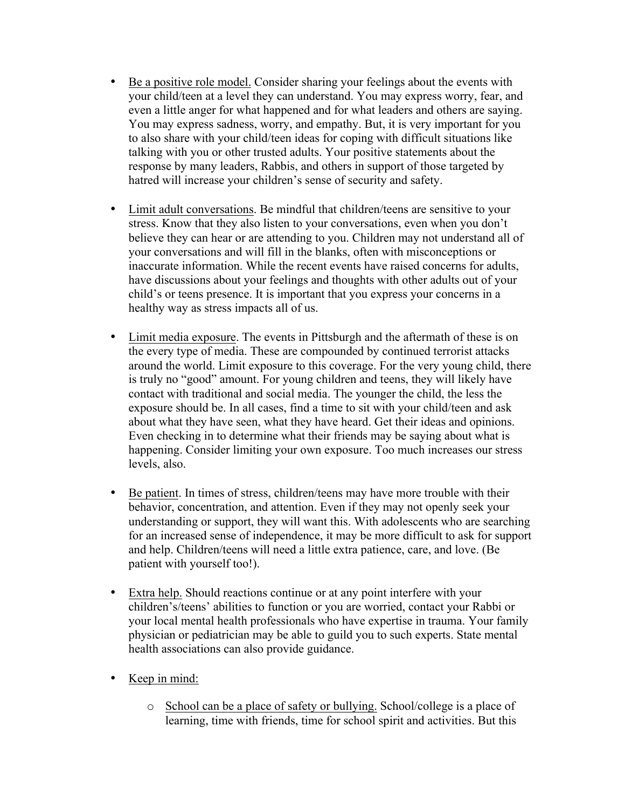- Be a positive role model. Consider sharing your feelings about the events with your child/teen at a level they can understand. You may express worry, fear, and even a little anger for what happened and for what leaders and others are saying. You may express sadness, worry, and empathy. But, it is very important for you to also share with your child/teen ideas for coping with difficult situations like talking with you or other trusted adults. Your positive statements about the response by many leaders, Rabbis, and others in support of those targeted by hatred will increase your children's sense of security and safety.
- Limit adult conversations. Be mindful that children/teens are sensitive to your stress. Know that they also listen to your conversations, even when you don't believe they can hear or are attending to you. Children may not understand all of your conversations and will fill in the blanks, often with misconceptions or inaccurate information. While the recent events have raised concerns for adults, have discussions about your feelings and thoughts with other adults out of your child's or teens presence. It is important that you express your concerns in a healthy way as stress impacts all of us.
- Limit media exposure. The events in Pittsburgh and the aftermath of these is on the every type of media. These are compounded by continued terrorist attacks around the world. Limit exposure to this coverage. For the very young child, there is truly no "good" amount. For young children and teens, they will likely have contact with traditional and social media. The younger the child, the less the exposure should be. In all cases, find a time to sit with your child/teen and ask about what they have seen, what they have heard. Get their ideas and opinions. Even checking in to determine what their friends may be saying about what is happening. Consider limiting your own exposure. Too much increases our stress levels, also.
- Be patient. In times of stress, children/teens may have more trouble with their behavior, concentration, and attention. Even if they may not openly seek your understanding or support, they will want this. With adolescents who are searching for an increased sense of independence, it may be more difficult to ask for support and help. Children/teens will need a little extra patience, care, and love. (Be patient with yourself too!).
- Extra help. Should reactions continue or at any point interfere with your children's/teens' abilities to function or you are worried, contact your Rabbi or your local mental health professionals who have expertise in trauma. Your family physician or pediatrician may be able to guild you to such experts. State mental health associations can also provide guidance.
- Keep in mind:
	- o School can be a place of safety or bullying. School/college is a place of learning, time with friends, time for school spirit and activities. But this